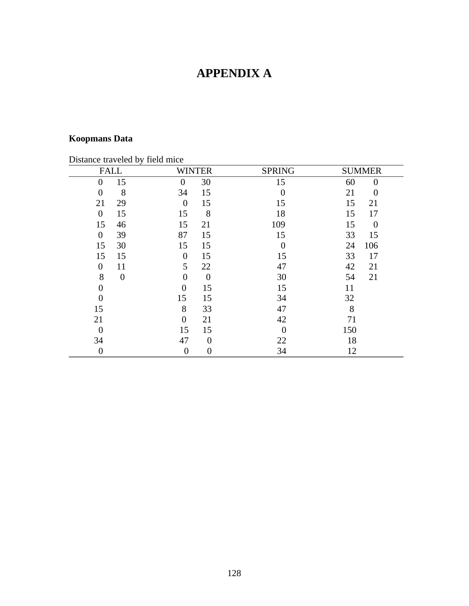# **APPENDIX A**

# **Koopmans Data**

| Distance traveled by field mice |  |  |  |  |
|---------------------------------|--|--|--|--|
|---------------------------------|--|--|--|--|

| <b>FALL</b>    |                |                | <b>WINTER</b>  | <b>SPRING</b>  |     | <b>SUMMER</b>  |
|----------------|----------------|----------------|----------------|----------------|-----|----------------|
| $\overline{0}$ | 15             | $\overline{0}$ | 30             | 15             | 60  | $\overline{0}$ |
| 0              | 8              | 34             | 15             | $\overline{0}$ | 21  | 0              |
| 21             | 29             | $\overline{0}$ | 15             | 15             | 15  | 21             |
| $\overline{0}$ | 15             | 15             | 8              | 18             | 15  | 17             |
| 15             | 46             | 15             | 21             | 109            | 15  | $\overline{0}$ |
| $\overline{0}$ | 39             | 87             | 15             | 15             | 33  | 15             |
| 15             | 30             | 15             | 15             | $\overline{0}$ | 24  | 106            |
| 15             | 15             | $\theta$       | 15             | 15             | 33  | 17             |
| $\overline{0}$ | 11             | 5              | 22             | 47             | 42  | 21             |
| 8              | $\overline{0}$ | $\theta$       | $\overline{0}$ | 30             | 54  | 21             |
| $\Omega$       |                | $\overline{0}$ | 15             | 15             | 11  |                |
| 0              |                | 15             | 15             | 34             | 32  |                |
| 15             |                | 8              | 33             | 47             | 8   |                |
| 21             |                | $\overline{0}$ | 21             | 42             | 71  |                |
| $\overline{0}$ |                | 15             | 15             | $\overline{0}$ | 150 |                |
| 34             |                | 47             | 0              | 22             | 18  |                |
| 0              |                | $\overline{0}$ | 0              | 34             | 12  |                |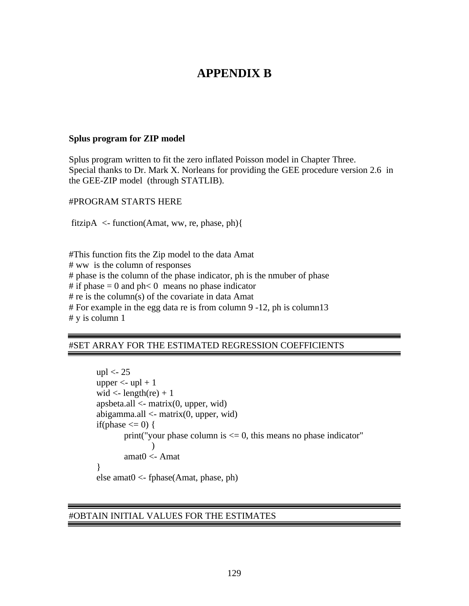## **APPENDIX B**

#### **Splus program for ZIP model**

Splus program written to fit the zero inflated Poisson model in Chapter Three. Special thanks to Dr. Mark X. Norleans for providing the GEE procedure version 2.6 in the GEE-ZIP model (through STATLIB).

#### #PROGRAM STARTS HERE

fitzipA <- function(Amat, ww, re, phase, ph){

#This function fits the Zip model to the data Amat # ww is the column of responses # phase is the column of the phase indicator, ph is the nmuber of phase # if phase  $= 0$  and ph $< 0$  means no phase indicator # re is the column(s) of the covariate in data Amat # For example in the egg data re is from column 9 -12, ph is column13 # y is column 1

## #SET ARRAY FOR THE ESTIMATED REGRESSION COEFFICIENTS

upl  $\langle$  - 25 upper  $\langle$ - upl + 1 wid  $\langle$ - length(re) + 1 apsbeta.all  $\leq$ - matrix $(0,$  upper, wid) abigamma.all <- matrix(0, upper, wid) if(phase  $\leq$  = 0) { print("your phase column is  $\leq 0$ , this means no phase indicator" ) amat0 <- Amat } else amat0 <- fphase(Amat, phase, ph)

#### #OBTAIN INITIAL VALUES FOR THE ESTIMATES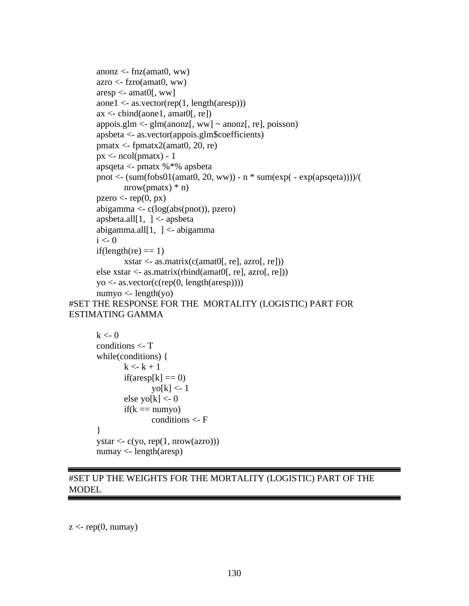```
anonz \langle- fnz(amat0, ww)
       \alphazro \langle - fzro(amat0, ww)
       \text{aresp} < \text{amat0}, ww]
       aone1 <- as.vector(rep(1, length(aresp)))
       ax < - cbind(aone1, amat0[, re])
       appois.glm \leq glm(anonz[, ww] \sim anonz[, re], poisson)
       apsbeta <- as.vector(appois.glm$coefficients)
       pmatx < - fpmatx2(amat0, 20, re)px < -\text{ncol}(\text{pmax}) - 1apsqeta <- pmatx %*% apsbeta
       pnot <- (sum(fobs01(amat0, 20, ww)) - n * sum(exp(-exp(apsgeta))))nrow(pmax) * npzero < rep(0, px)abigamma <- c(log(abs(pnot)), pzero)
       apsbeta.all[1, ] \leq-apsbeta
       abigamma.all[1, ] \le- abigamma
       i < 0if(length(re) == 1)
              xstar < -a.s.matrix(c(amat0[, rel, azro[, rel))else xstar <- as.matrix(rbind(amat0[, re], azro[, re]))
       yo <- as.vector(c(rep(0, length(aresp))))
       numyo \langle- length(yo)
#SET THE RESPONSE FOR THE MORTALITY (LOGISTIC) PART FOR
ESTIMATING GAMMA
```

```
k < 0conditions <- T
while(conditions) {
        k < k + 1if(aresp[k] == 0)\text{yo[k]} < 1else yo[k] < 0if(k == numvo)conditions <- F
}
ystar \langle \text{-(yo, rep}(1, \text{now}(\text{azro}))) \ranglenumay <- length(aresp)
```
## #SET UP THE WEIGHTS FOR THE MORTALITY (LOGISTIC) PART OF THE MODEL

 $z <$ - rep $(0, \text{numay})$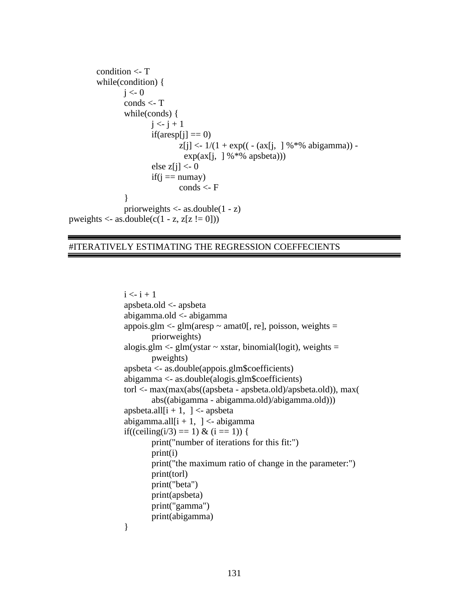```
condition <- T
        while(condition) {
               j < -0conds <- T
                while(conds) {
                       j \leq i + 1if(aresp[j] == 0)
                                z[j] < -1/(1 + \exp((-(ax[j, \cdot])\%) + \exp((-ax[j, \cdot]))exp(ax[i, 1\%*\% apsbeta))
                        else z[i] < 0if(j == numay)conds <- F
                }
               priorweights <- as.double(1 - z)
pweights \langle - as.double(c(1 - z, z[z != 0]))
```
#### #ITERATIVELY ESTIMATING THE REGRESSION COEFFECIENTS

```
i \leq i + 1apsbeta.old <- apsbeta
abigamma.old <- abigamma
appois.glm \langle- glm(aresp \sim amat0[, re], poisson, weights =
       priorweights)
alogis.glm \langle- glm(ystar \sim xstar, binomial(logit), weights =
       pweights)
apsbeta <- as.double(appois.glm$coefficients)
abigamma <- as.double(alogis.glm$coefficients)
torl <- max(max(abs((apsbeta - apsbeta.old)/apsbeta.old)), max(
       abs((abigamma - abigamma.old)/abigamma.old)))
apsbeta.all[i + 1, ] <- apsbeta
abigamma.all[i + 1, ] \le- abigamma
if((ceiling(i/3) = 1) & (i = 1)) {
       print("number of iterations for this fit:")
       print(i)
       print("the maximum ratio of change in the parameter:")
       print(torl)
       print("beta")
       print(apsbeta)
       print("gamma")
       print(abigamma)
}
```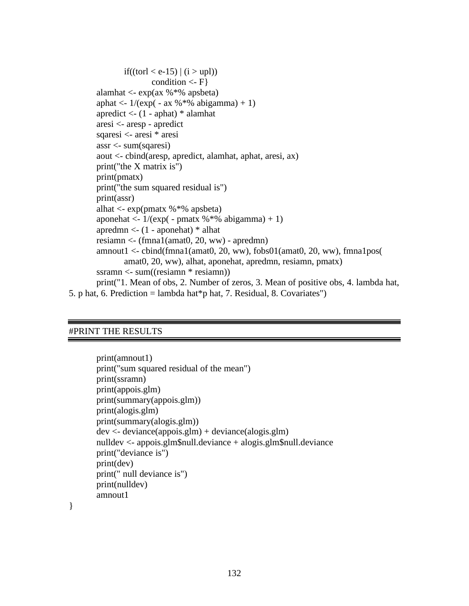```
if((torl < e-15) |(i >upl))
                      condition \langle - F}
       alamhat \langle - exp(ax % \% apsbeta)
       aphat <- 1/(exp(-ax %^*)\%) abigamma) + 1)apredict \langle - (1 - aphat) * alamhat
       aresi <- aresp - apredict
       sqaresi <- aresi * aresi
       assr <- sum(sqaresi)
       aout <- cbind(aresp, apredict, alamhat, aphat, aresi, ax)
       print("the X matrix is")
       print(pmatx)
       print("the sum squared residual is")
       print(assr)
       alhat <- exp(pmatx %*% apsbeta)
       aponehat \langle 1/(exp(-pmat x \%)^* \%) abigamma)+1)
       apredmn \lt- (1 - aponehat) * alhat
       resiamn <- (fmna1(amat0, 20, ww) - apredmn)
       amnout1 <- cbind(fmna1(amat0, 20, ww), fobs01(amat0, 20, ww), fmna1pos(
               amat0, 20, ww), alhat, aponehat, apredmn, resiamn, pmatx)
       ssramn <- sum((resiamn * resiamn))
       print("1. Mean of obs, 2. Number of zeros, 3. Mean of positive obs, 4. lambda hat,
5. p hat, 6. Prediction = lambda hat*p hat, 7. Residual, 8. Covariates")
```
#### #PRINT THE RESULTS

```
print(amnout1)
print("sum squared residual of the mean")
print(ssramn)
print(appois.glm)
print(summary(appois.glm))
print(alogis.glm)
print(summary(alogis.glm))
dev \leftarrow deviance(appois.glm) + deviance(alogis.glm)nulldev <- appois.glm$null.deviance + alogis.glm$null.deviance
print("deviance is")
print(dev)
print(" null deviance is")
print(nulldev)
amnout1
```
}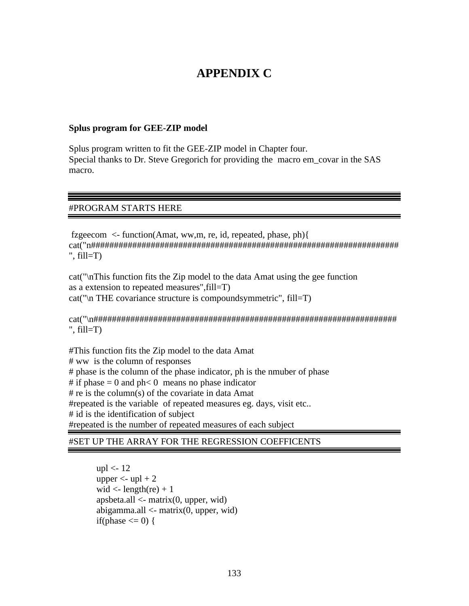# **APPENDIX C**

#### **Splus program for GEE-ZIP model**

Splus program written to fit the GEE-ZIP model in Chapter four. Special thanks to Dr. Steve Gregorich for providing the macro em\_covar in the SAS macro.

## #PROGRAM STARTS HERE

fzgeecom <- function(Amat, ww,m, re, id, repeated, phase, ph){ cat("n###################################################################  $", fill=T)$ 

cat("\nThis function fits the Zip model to the data Amat using the gee function as a extension to repeated measures",fill=T) cat("\n THE covariance structure is compoundsymmetric", fill=T)

cat("\n################################################################## ",  $fill=T$ )

#This function fits the Zip model to the data Amat # ww is the column of responses # phase is the column of the phase indicator, ph is the nmuber of phase # if phase  $= 0$  and ph $< 0$  means no phase indicator # re is the column(s) of the covariate in data Amat #repeated is the variable of repeated measures eg. days, visit etc.. # id is the identification of subject #repeated is the number of repeated measures of each subject

## #SET UP THE ARRAY FOR THE REGRESSION COEFFICENTS

upl  $\langle$ - 12 upper  $\langle$ - upl + 2 wid  $\langle$ - length(re) + 1 apsbeta.all  $\leq$ - matrix $(0,$  upper, wid) abigamma.all <- matrix(0, upper, wid) if(phase  $\leq$  = 0) {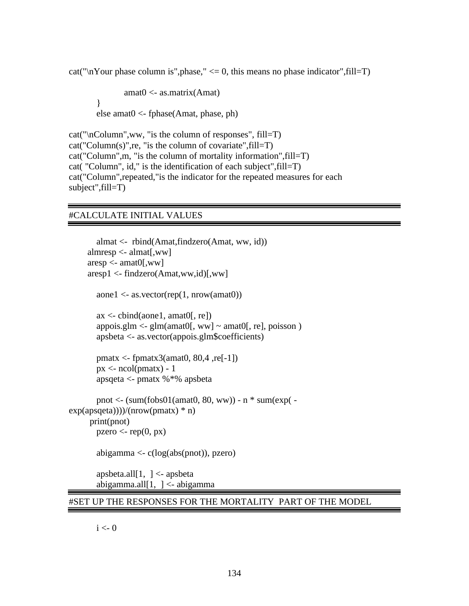cat("\nYour phase column is", phase,"  $\leq$  0, this means no phase indicator", fill=T)

amat0 <- as.matrix(Amat) } else amat0 <- fphase(Amat, phase, ph)

```
cat("\nColumn",ww, "is the column of responses", fill=T)
cat("Column(s)",re, "is the column of covariate",fill=T)
cat("Column",m, "is the column of mortality information",fill=T)
cat( "Column", id," is the identification of each subject",fill=T)
cat("Column",repeated,"is the indicator for the repeated measures for each
subject",fill=T)
```
## #CALCULATE INITIAL VALUES

```
almat <- rbind(Amat,findzero(Amat, ww, id))
     almresp \lt- almat[,ww]
      aresp <- amat0[,ww]
      aresp1 <- findzero(Amat,ww,id)[,ww]
       aone1 <- as.vector(rep(1, nrow(amat0))
       ax <- cbind(aone1, amat0[, re])
       appois.glm \langle- glm(amat0[, ww] \sim amat0[, re], poisson)
       apsbeta <- as.vector(appois.glm$coefficients)
       pmatx \langle- fpmatx3(amat0, 80,4 ,re[-1])
       px < -\text{ncol}(\text{pmax}) - 1apsqeta <- pmatx %*% apsbeta
       pnot \langle - (sum(fobs01(amat0, 80, ww)) - n * sum(exp( -
exp(apsqeta))))/(nrow(pmatx) * n)
      print(pnot)
       pzero < -\text{rep}(0, px)abigamma <- c(log(abs(pnot)), pzero)
       apsbeta.all[1, ] \leq-apsbeta
       abigamma.all[1, ] <- abigamma
```

```
#SET UP THE RESPONSES FOR THE MORTALITY PART OF THE MODEL
```
 $i < -0$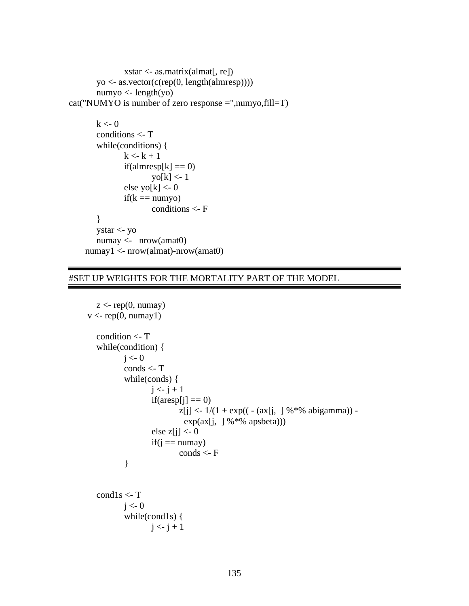```
xstar <- as.matrix(almat[, re])
       yo <- as.vector(c(rep(0, length(almresp))))
       numyo \langle- length(yo)
cat("NUMYO is number of zero response =",numyo,fill=T)
       k < 0conditions <- T
       while(conditions) {
              k < k + 1if(almresp[k] == 0)
                      \text{yo[k]} < 1else yo[k] <- 0
              if(k == numyo)conditions <- F
       }
       ystar <- yo
       numay \leq nrow(amat0)
     numay1 <- nrow(almat)-nrow(amat0)
```
## #SET UP WEIGHTS FOR THE MORTALITY PART OF THE MODEL

```
z <- rep(0, numay)v <- rep(0, numay1)
  condition <- T
  while(condition) {
          j < -0conds <- T
          while(conds) {
                  j \leq i + 1if(aresp[j] == 0)
                           z[j] < -1/(1 + \exp((-(ax[j, \cdot])\%) + \exp((-ax[j, \cdot]))\%)exp(ax[i, \ ]\% \times \% apsbeta)))
                   else z[i] < 0if(j == numay)\text{conds} < F}
  cond1s <- T
          j < -0while(cond1s) {
                  i \leq i + 1
```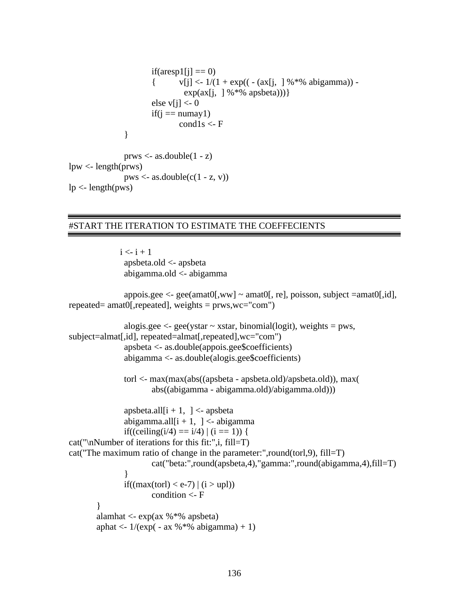```
if(aresp1[j] == 0)
                         { v[j] <- 1/(1 + \exp((- (\text{ax}[i, \cdot])\%)^* \otimes \text{abigamma})) -
                                  exp(ax[i, 1\% * \% apsbeta]))}
                        else v[i] < 0if(j == numay1)cond1s < F}
                prws \leq- as.double(1 - z)
lpw <- length(prws)
                pws < -a s.double(c(1 - z, v))lp < - length(pws)
```
#### #START THE ITERATION TO ESTIMATE THE COEFFECIENTS

 $i \leq i + 1$ apsbeta.old <- apsbeta abigamma.old <- abigamma

appois.gee  $\leq$  gee(amat0[,ww]  $\sim$  amat0[, re], poisson, subject =amat0[,id], repeated= amat0[,repeated], weights = prws,wc="com")

```
alogis.gee \leq- gee(ystar \sim xstar, binomial(logit), weights = pws,
subject=almat[,id], repeated=almat[,repeated],wc="com")
               apsbeta <- as.double(appois.gee$coefficients)
               abigamma <- as.double(alogis.gee$coefficients)
```
torl <- max(max(abs((apsbeta - apsbeta.old)/apsbeta.old)), max( abs((abigamma - abigamma.old)/abigamma.old)))

apsbeta.all $[i + 1, ] <$ - apsbeta abigamma.all $[i + 1, ] \le$ - abigamma if((ceiling(i/4) == i/4)  $|(i == 1))$  {  $cat("\\number of iterations for this fit:",i, fill=T)$ cat("The maximum ratio of change in the parameter:",round(torl,9), fill=T) cat("beta:",round(apsbeta,4),"gamma:",round(abigamma,4),fill=T) } if((max(torl) < e-7)  $|(i > upl))$ condition  $\lt$ - F

} alamhat <- exp(ax %\*% apsbeta) aphat <-  $1/(exp(-ax %^*)\%)$  abigamma $) + 1)$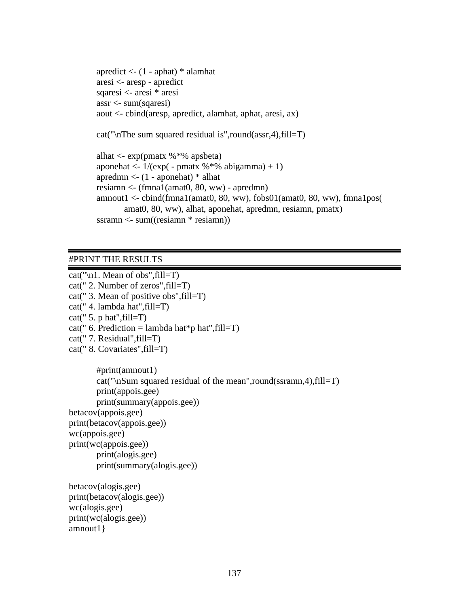```
apredict <- (1 - aphat) * alamhat
aresi <- aresp - apredict
sqaresi <- aresi * aresi
assr <- sum(sqaresi)
aout <- cbind(aresp, apredict, alamhat, aphat, aresi, ax)
cat("\nThe sum squared residual is",round(assr,4),fill=T)
alhat \langle- exp(pmatx % \% apsbeta)
aponehat \langle 1/(exp(-pmat x \%)^* \%) abigamma)+1)
apredmn \lt- (1 - aponehat) * alhat
resiamn <- (fmna1(amat0, 80, ww) - apredmn)
amnout1 <- cbind(fmna1(amat0, 80, ww), fobs01(amat0, 80, ww), fmna1pos(
       amat0, 80, ww), alhat, aponehat, apredmn, resiamn, pmatx)
 ssramn <- sum((resiamn * resiamn))
```
#### #PRINT THE RESULTS

```
cat("\n1. Mean of obs", fill=T)
cat(" 2. Number of zeros",fill=T)
cat(" 3. Mean of positive obs",fill=T)
cat(" 4. lambda hat",fill=T)
cat(" 5. p hat", fill=T)
cat(" 6. Prediction = lambda hat*p hat", fill=T)
cat(" 7. Residual",fill=T)
cat(" 8. Covariates",fill=T)
       #print(amnout1)
       cat("\nSum squared residual of the mean",round(ssramn,4),fill=T)
       print(appois.gee)
       print(summary(appois.gee))
betacov(appois.gee)
print(betacov(appois.gee))
wc(appois.gee)
print(wc(appois.gee))
       print(alogis.gee)
       print(summary(alogis.gee))
betacov(alogis.gee)
print(betacov(alogis.gee))
wc(alogis.gee)
print(wc(alogis.gee))
amnout1}
```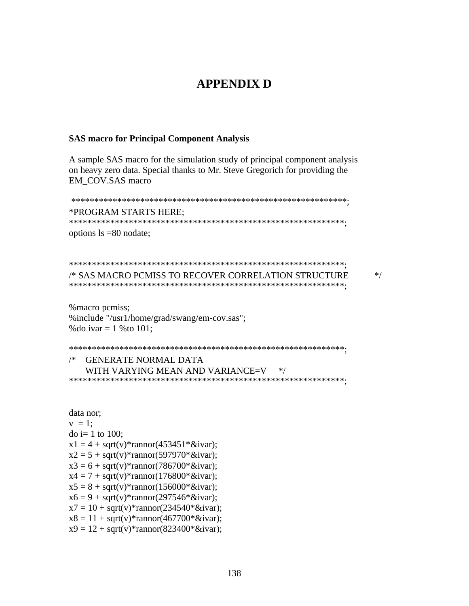## **APPENDIX D**

#### **SAS macro for Principal Component Analysis**

A sample SAS macro for the simulation study of principal component analysis on heavy zero data. Special thanks to Mr. Steve Gregorich for providing the EM COV.SAS macro

```
*PROGRAM STARTS HERE:
options ls = 80 nodate;
```

```
/* SAS MACRO PCMISS TO RECOVER CORRELATION STRUCTURE
```
 $*$ 

```
% macro pcmiss;
%include "/usr1/home/grad/swang/em-cov.sas";
% do ivar = 1%101;
```

```
/* GENERATE NORMAL DATA
```
WITH VARYING MEAN AND VARIANCE=V  $*$ 

```
data nor;
v = 1:
do = 1 to 100;x1 = 4 + sqrt(v) * rannor(453451 * & ivar);x2 = 5 + sqrt(v) * rannor(597970 * &ivar);x3 = 6 + sqrt(v) * rannor(786700 * & ivar);x4 = 7 + sqrt(v) * rannor(176800 * & ivar);x5 = 8 + sqrt(v) * rannor(156000 * & ivar);x6 = 9 + sqrt(v) * rannor(297546 * &ivar);x7 = 10 + sqrt(v) * rannor(234540 * &ivar);x8 = 11 + sqrt(v) * rannor(467700 * & ivar);x9 = 12 + sqrt(v) * rannor(823400 * & ivar);
```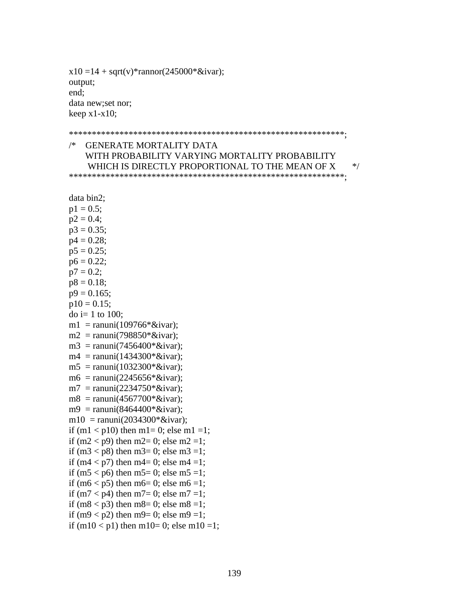$x10 = 14 + sqrt(v) * rannor(245000 * & ivar);$ output; end; data new;set nor; keep  $x1-x10$ ;

## \*\*\*\*\*\*\*\*\*\*\*\*\*\*\*\*\*\*\*\*\*\*\*\*\*\*\*\*\*\*\*\*\*\*\*\*\*\*\*\*\*\*\*\*\*\*\*\*\*\*\*\*\*\*\*\*\*\*\*\*; /\* GENERATE MORTALITY DATA WITH PROBABILITY VARYING MORTALITY PROBABILITY WHICH IS DIRECTLY PROPORTIONAL TO THE MEAN OF X  $*$ \*\*\*\*\*\*\*\*\*\*\*\*\*\*\*\*\*\*\*\*\*\*\*\*\*\*\*\*\*\*\*\*\*\*\*\*\*\*\*\*\*\*\*\*\*\*\*\*\*\*\*\*\*\*\*\*\*\*\*\*;

```
data bin2;
p1 = 0.5;
p2 = 0.4;
p3 = 0.35;
p4 = 0.28;
p5 = 0.25;
p6 = 0.22;
p7 = 0.2;
p8 = 0.18;
p9 = 0.165;
p10 = 0.15;
do i= 1 to 100;
m1 = ranuni(109766*&ivar);
m2 = ranuni(798850*&ivar);
m3 = ranuni(7456400*&ivar);
m4 = ranuni(1434300*&ivar);
m5 = ranuni(1032300*&ivar);
m6 = ranuni(2245656*&ivar);
m7 = \text{ranuni}(2234750 * \&\text{ivar});
m8 = ranuni(4567700*&ivar);
m9 = ranuni(8464400*&ivar);
m10 = ranuni(2034300*&ivar);
if (m1 < p10) then m1= 0; else m1 =1;
if (m2 < p9) then m2= 0; else m2 =1;
if (m3 < p8) then m3 = 0; else m3 = 1;
if (m4 < p7) then m4= 0; else m4 =1;
if (m5 < p6) then m5 = 0; else m5 = 1;
if (m6 < p5) then m6 = 0; else m6 = 1;
if (m7 < p4) then m7= 0; else m7 =1;
if (m8 < p3) then m8= 0; else m8 =1;
if (m9 < p2) then m9= 0; else m9 =1;
if (m10 < p1) then m10= 0; else m10 =1;
```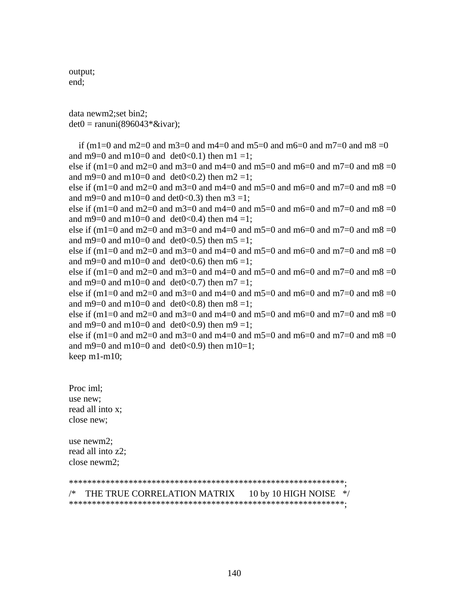output; end;

data newm2;set bin2;  $det0 = \text{ranuni}(896043 * \&\text{ivar});$ 

if (m1=0 and m2=0 and m3=0 and m4=0 and m5=0 and m6=0 and m7=0 and m8 =0 and m9=0 and m10=0 and det0<0.1) then m1 =1; else if (m1=0 and m2=0 and m3=0 and m4=0 and m5=0 and m6=0 and m7=0 and m8 =0 and m9=0 and m10=0 and det0<0.2) then m2 =1; else if (m1=0 and m2=0 and m3=0 and m4=0 and m5=0 and m6=0 and m7=0 and m8 =0 and m9=0 and m10=0 and det0<0.3) then m3 =1; else if (m1=0 and m2=0 and m3=0 and m4=0 and m5=0 and m6=0 and m7=0 and m8 =0 and m9=0 and m10=0 and det0<0.4) then m4 =1; else if (m1=0 and m2=0 and m3=0 and m4=0 and m5=0 and m6=0 and m7=0 and m8 =0 and m9=0 and m10=0 and det0<0.5) then m5 =1; else if (m1=0 and m2=0 and m3=0 and m4=0 and m5=0 and m6=0 and m7=0 and m8 =0 and m9=0 and m10=0 and det0<0.6) then m6 =1; else if (m1=0 and m2=0 and m3=0 and m4=0 and m5=0 and m6=0 and m7=0 and m8 =0 and m9=0 and m10=0 and det0<0.7) then m7 =1; else if (m1=0 and m2=0 and m3=0 and m4=0 and m5=0 and m6=0 and m7=0 and m8 =0 and m9=0 and m10=0 and det0<0.8) then m8 =1; else if (m1=0 and m2=0 and m3=0 and m4=0 and m5=0 and m6=0 and m7=0 and m8 =0 and m9=0 and m10=0 and det0<0.9) then m9 =1; else if (m1=0 and m2=0 and m3=0 and m4=0 and m5=0 and m6=0 and m7=0 and m8 =0 and m9=0 and m10=0 and det0<0.9) then m10=1; keep m1-m10;

Proc iml; use new; read all into x; close new;

use newm2; read all into z2; close newm2;

\*\*\*\*\*\*\*\*\*\*\*\*\*\*\*\*\*\*\*\*\*\*\*\*\*\*\*\*\*\*\*\*\*\*\*\*\*\*\*\*\*\*\*\*\*\*\*\*\*\*\*\*\*\*\*\*\*\*\*\*;

/\* THE TRUE CORRELATION MATRIX 10 by 10 HIGH NOISE \*/ \*\*\*\*\*\*\*\*\*\*\*\*\*\*\*\*\*\*\*\*\*\*\*\*\*\*\*\*\*\*\*\*\*\*\*\*\*\*\*\*\*\*\*\*\*\*\*\*\*\*\*\*\*\*\*\*\*\*\*\*;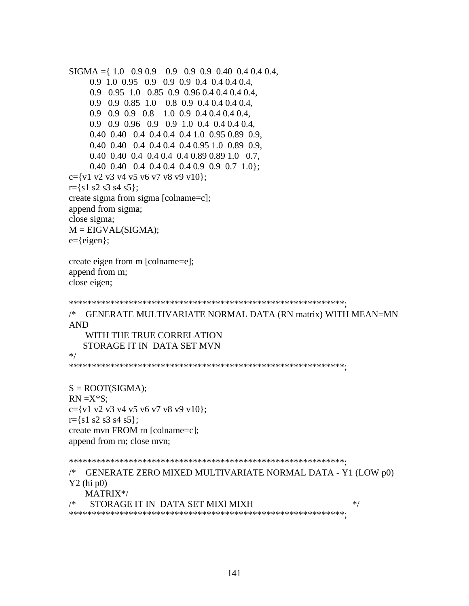```
SIGMA ={ 1.0 0.9 0.9 0.9 0.9 0.9 0.40 0.4 0.4 0.4,
     0.9 1.0 0.95 0.9 0.9 0.9 0.4 0.4 0.4 0.4,
     0.9 0.95 1.0 0.85 0.9 0.96 0.4 0.4 0.4 0.4,
     0.9 0.9 0.85 1.0 0.8 0.9 0.4 0.4 0.4 0.4,
     0.9 0.9 0.9 0.8 1.0 0.9 0.4 0.4 0.4 0.4,
     0.9 0.9 0.96 0.9 0.9 1.0 0.4 0.4 0.4 0.4,
     0.40 0.40 0.4 0.4 0.4 0.4 1.0 0.95 0.89 0.9,
     0.40 0.40 0.4 0.4 0.4 0.4 0.95 1.0 0.89 0.9,
     0.40 0.40 0.4 0.4 0.4 0.4 0.89 0.89 1.0 0.7,
     0.40 0.40 0.4 0.4 0.4 0.4 0.9 0.9 0.7 1.0};
c = \{v1 v2 v3 v4 v5 v6 v7 v8 v9 v10\};r = \{s1 s2 s3 s4 s5\};create sigma from sigma [colname=c];
append from sigma;
close sigma;
M = EIGVAL(SIGMA);e={eigen};
create eigen from m [colname=e];
append from m;
close eigen;
************************************************************;
/* GENERATE MULTIVARIATE NORMAL DATA (RN matrix) WITH MEAN=MN
AND
    WITH THE TRUE CORRELATION
    STORAGE IT IN DATA SET MVN
*/
************************************************************;
S = ROOT(SIGMA);RN = X*S;c = \{v1 v2 v3 v4 v5 v6 v7 v8 v9 v10\};
r = \{s1 s2 s3 s4 s5\};create mvn FROM rn [colname=c];
append from rn; close mvn;
************************************************************;
/* GENERATE ZERO MIXED MULTIVARIATE NORMAL DATA - Y1 (LOW p0)
Y2 (hi p0)
    MATRIX*/
/* STORAGE IT IN DATA SET MIXl MIXH */
************************************************************;
```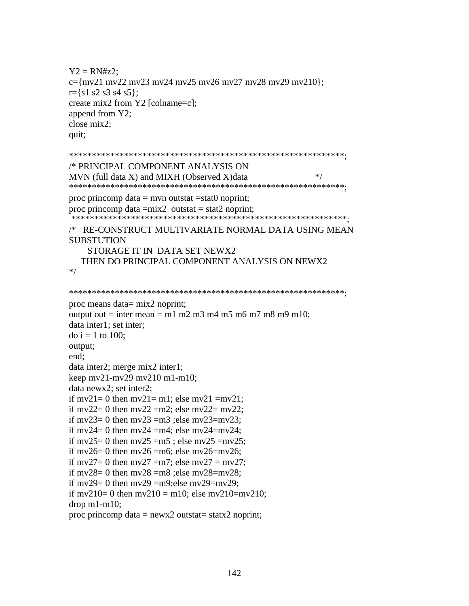```
Y2 = RN#z2;c = \{mv21 mv22 mv23 mv24 mv25 mv26 mv27 mv28 mv29 mv210\};r = {s1 s2 s3 s4 s5};create mix2 from Y2 [colname=c];
append from Y2;
close mix2;
quit;
```

```
/* PRINCIPAL COMPONENT ANALYSIS ON
                                               * /MVN (full data X) and MIXH (Observed X)data
proc princomp data = mvn outstat = stat0 noprint;
proc princomp data =mix2 outstat = stat2 noprint;
/* RE-CONSTRUCT MULTIVARIATE NORMAL DATA USING MEAN
SUBSTUTION
   STORAGE IT IN DATA SET NEWX2
  THEN DO PRINCIPAL COMPONENT ANALYSIS ON NEWX2
* /
proc means data= mix2 noprint;
output out = inter mean = m1 m2 m3 m4 m5 m6 m7 m8 m9 m10;
data inter1; set inter;
do i = 1 to 100:
output;
end;
data inter2; merge mix2 inter1;
keep mv21-mv29 mv210 m1-m10;
data newx2; set inter2;
if mv21 = 0 then mv21 = m1; else mv21 = mv21;
if mv22= 0 then mv22 = m2; else mv22= mv22;
if mv23= 0 then mv23 = m3 ; else mv23 = mv23;
if my24= 0 then my24 = m4: else my24= my24:
if mv25= 0 then mv25 = m5; else mv25 = mv25;
if mv26= 0 then mv26 = m6; else mv26= mv26;
if mv27= 0 then mv27 = m7; else mv27 = mv27;
if mv28= 0 then mv28 = m8 ; else mv28= mv28;
if mv29= 0 then mv29 = m9; else mv29 = mv29;
if mv210= 0 then mv210 = m10; else mv210=mv210;
drop m1-m10;proc princomp data = newx2 outstat= statx2 noprint;
```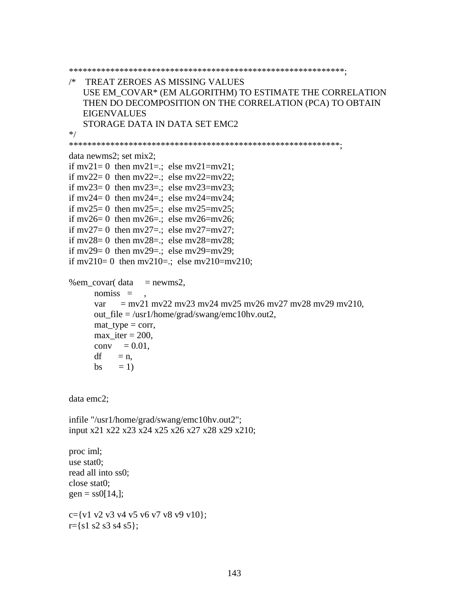```
/* TREAT ZEROES AS MISSING VALUES
   USE EM COVAR* (EM ALGORITHM) TO ESTIMATE THE CORRELATION
  THEN DO DECOMPOSITION ON THE CORRELATION (PCA) TO OBTAIN
  EIGENVALUES
   STORAGE DATA IN DATA SET EMC2
* /
data newms2; set mix2;
if mv21=0 then mv21=; else mv21=mv21;
if mv22= 0 then mv22=:; else mv22=mv22;
if mv23= 0 then mv23=.; else mv23=mv23;
if mv24=0 then mv24=; else mv24=mv24:
if mv25=0 then mv25=; else mv25=mv25;
if mv26=0 then mv26=; else mv26=mv26;
if mv27= 0 then mv27=:; else mv27=mv27;
if mv28= 0 then mv28=: else mv28=mv28;
if mv29= 0 then mv29=:; else mv29=mv29;
if mv210= 0 then mv210=:; else mv210=mv210;
% em_covar(data = newms2,
     nomiss =,
          = mv21 mv22 mv23 mv24 mv25 mv26 mv27 mv28 mv29 mv210,
     var
     out file = /usr1/home/grad/swang/emc10hv.out2,
     mat type = corr,
     max iter = 200,
     conv = 0.01.
     df
         = n.bs= 1data emc2;
infile "/usr1/home/grad/swang/emc10hv.out2";
input x21 x22 x23 x24 x25 x26 x27 x28 x29 x210;
proc iml;
use stat0:
read all into ss0:
close stat0;
gen = ss0[14,];c = \{v1 v2 v3 v4 v5 v6 v7 v8 v9 v10\};r = {s1 s2 s3 s4 s5};
```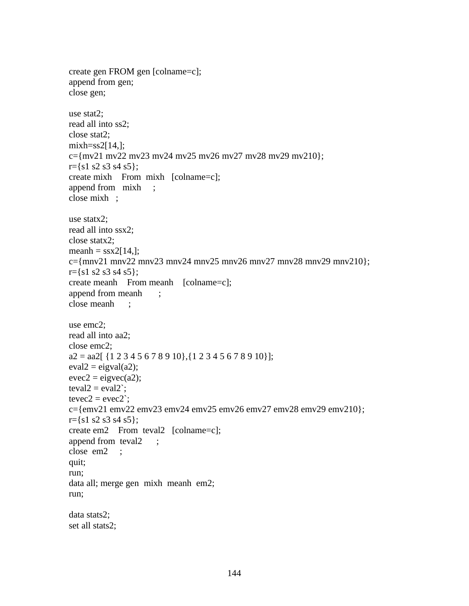```
create gen FROM gen [colname=c];
append from gen;
close gen;
use stat2;
read all into ss2;
close stat2;
mixh=ss2[14,];c={mv21 mv22 mv23 mv24 mv25 mv26 mv27 mv28 mv29 mv210};
r = \{s1 s2 s3 s4 s5\};create mixh From mixh [colname=c];
append from mixh ;
close mixh ;
use statx2;
read all into ssx2;
close statx2;
meanh = ssx2[14,];
c={mnv21 mnv22 mnv23 mnv24 mnv25 mnv26 mnv27 mnv28 mnv29 mnv210};
r = \{s1 s2 s3 s4 s5\};create meanh From meanh [colname=c];
append from meanh ;
close meanh ;
use emc2;
read all into aa2;
close emc2;
a2 = aa2[ {1 2 3 4 5 6 7 8 9 10}, {1 2 3 4 5 6 7 8 9 10}];
eval2 = eigval(a2);evec2 = eigvec(a2);teval2 = eval2;
tevec2 = evec2;
c={emv21 emv22 emv23 emv24 emv25 emv26 emv27 emv28 emv29 emv210};
r = \{s1 s2 s3 s4 s5\};create em2 From teval2 [colname=c];
append from teval 2;
close em2 ;
quit;
run;
data all; merge gen mixh meanh em2;
run;
data stats2;
set all stats2;
```